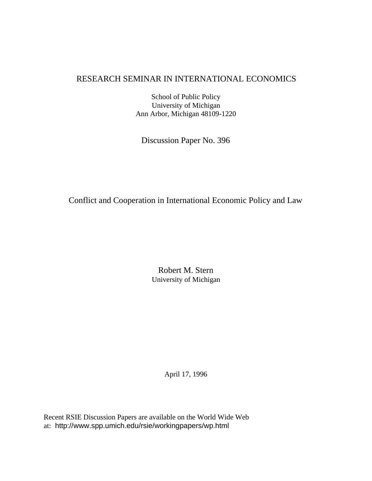# RESEARCH SEMINAR IN INTERNATIONAL ECONOMICS

School of Public Policy University of Michigan Ann Arbor, Michigan 48109-1220

Discussion Paper No. 396

Conflict and Cooperation in International Economic Policy and Law

Robert M. Stern University of Michigan

April 17, 1996

Recent RSIE Discussion Papers are available on the World Wide Web at: http://www.spp.umich.edu/rsie/workingpapers/wp.html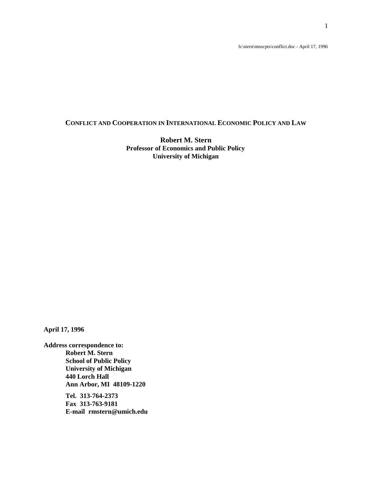h:\stern\mnscpts\conflict.doc - April 17, 1996

# **CONFLICT AND COOPERATION IN INTERNATIONAL ECONOMIC POLICY AND LAW**

**Robert M. Stern Professor of Economics and Public Policy University of Michigan**

**April 17, 1996**

**Address correspondence to: Robert M. Stern School of Public Policy University of Michigan 440 Lorch Hall Ann Arbor, MI 48109-1220**

**Tel. 313-764-2373 Fax 313-763-9181 E-mail rmstern@umich.edu**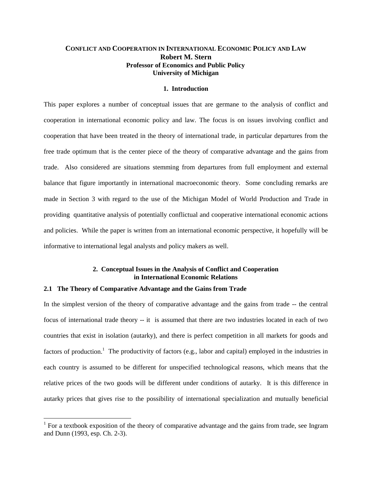# **CONFLICT AND COOPERATION IN INTERNATIONAL ECONOMIC POLICY AND LAW Robert M. Stern Professor of Economics and Public Policy University of Michigan**

### **1. Introduction**

This paper explores a number of conceptual issues that are germane to the analysis of conflict and cooperation in international economic policy and law. The focus is on issues involving conflict and cooperation that have been treated in the theory of international trade, in particular departures from the free trade optimum that is the center piece of the theory of comparative advantage and the gains from trade. Also considered are situations stemming from departures from full employment and external balance that figure importantly in international macroeconomic theory. Some concluding remarks are made in Section 3 with regard to the use of the Michigan Model of World Production and Trade in providing quantitative analysis of potentially conflictual and cooperative international economic actions and policies. While the paper is written from an international economic perspective, it hopefully will be informative to international legal analysts and policy makers as well.

# **2. Conceptual Issues in the Analysis of Conflict and Cooperation in International Economic Relations**

## **2.1 The Theory of Comparative Advantage and the Gains from Trade**

 $\overline{a}$ 

In the simplest version of the theory of comparative advantage and the gains from trade -- the central focus of international trade theory -- it is assumed that there are two industries located in each of two countries that exist in isolation (autarky), and there is perfect competition in all markets for goods and factors of production.<sup>1</sup> The productivity of factors (e.g., labor and capital) employed in the industries in each country is assumed to be different for unspecified technological reasons, which means that the relative prices of the two goods will be different under conditions of autarky. It is this difference in autarky prices that gives rise to the possibility of international specialization and mutually beneficial

<sup>&</sup>lt;sup>1</sup> For a textbook exposition of the theory of comparative advantage and the gains from trade, see Ingram and Dunn (1993, esp. Ch. 2-3).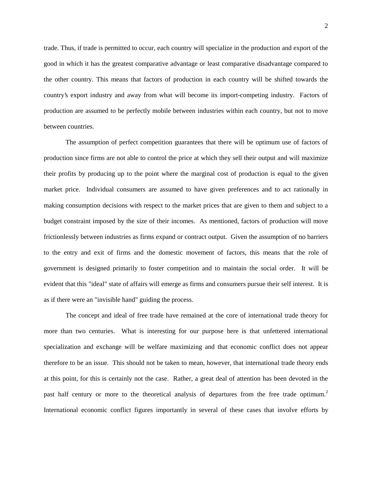trade. Thus, if trade is permitted to occur, each country will specialize in the production and export of the good in which it has the greatest comparative advantage or least comparative disadvantage compared to the other country. This means that factors of production in each country will be shifted towards the country's export industry and away from what will become its import-competing industry. Factors of production are assumed to be perfectly mobile between industries within each country, but not to move between countries.

The assumption of perfect competition guarantees that there will be optimum use of factors of production since firms are not able to control the price at which they sell their output and will maximize their profits by producing up to the point where the marginal cost of production is equal to the given market price. Individual consumers are assumed to have given preferences and to act rationally in making consumption decisions with respect to the market prices that are given to them and subject to a budget constraint imposed by the size of their incomes. As mentioned, factors of production will move frictionlessly between industries as firms expand or contract output. Given the assumption of no barriers to the entry and exit of firms and the domestic movement of factors, this means that the role of government is designed primarily to foster competition and to maintain the social order. It will be evident that this "ideal" state of affairs will emerge as firms and consumers pursue their self interest. It is as if there were an "invisible hand" guiding the process.

The concept and ideal of free trade have remained at the core of international trade theory for more than two centuries. What is interesting for our purpose here is that unfettered international specialization and exchange will be welfare maximizing and that economic conflict does not appear therefore to be an issue. This should not be taken to mean, however, that international trade theory ends at this point, for this is certainly not the case. Rather, a great deal of attention has been devoted in the past half century or more to the theoretical analysis of departures from the free trade optimum.<sup>2</sup> International economic conflict figures importantly in several of these cases that involve efforts by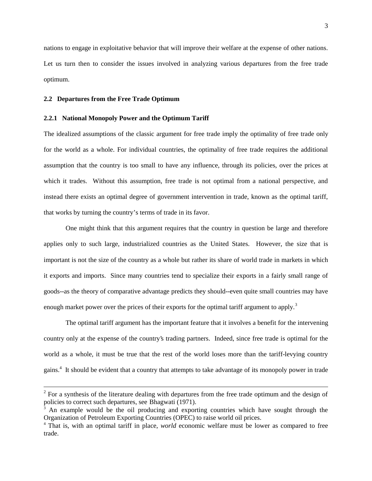nations to engage in exploitative behavior that will improve their welfare at the expense of other nations. Let us turn then to consider the issues involved in analyzing various departures from the free trade optimum.

#### **2.2 Departures from the Free Trade Optimum**

 $\overline{a}$ 

# **2.2.1 National Monopoly Power and the Optimum Tariff**

The idealized assumptions of the classic argument for free trade imply the optimality of free trade only for the world as a whole. For individual countries, the optimality of free trade requires the additional assumption that the country is too small to have any influence, through its policies, over the prices at which it trades. Without this assumption, free trade is not optimal from a national perspective, and instead there exists an optimal degree of government intervention in trade, known as the optimal tariff, that works by turning the country's terms of trade in its favor.

One might think that this argument requires that the country in question be large and therefore applies only to such large, industrialized countries as the United States. However, the size that is important is not the size of the country as a whole but rather its share of world trade in markets in which it exports and imports. Since many countries tend to specialize their exports in a fairly small range of goods--as the theory of comparative advantage predicts they should--even quite small countries may have enough market power over the prices of their exports for the optimal tariff argument to apply.<sup>3</sup>

The optimal tariff argument has the important feature that it involves a benefit for the intervening country only at the expense of the country's trading partners. Indeed, since free trade is optimal for the world as a whole, it must be true that the rest of the world loses more than the tariff-levying country gains.<sup>4</sup> It should be evident that a country that attempts to take advantage of its monopoly power in trade

 $2^2$  For a synthesis of the literature dealing with departures from the free trade optimum and the design of policies to correct such departures, see Bhagwati (1971).

 $3$  An example would be the oil producing and exporting countries which have sought through the Organization of Petroleum Exporting Countries (OPEC) to raise world oil prices.

<sup>4</sup> That is, with an optimal tariff in place, *world* economic welfare must be lower as compared to free trade.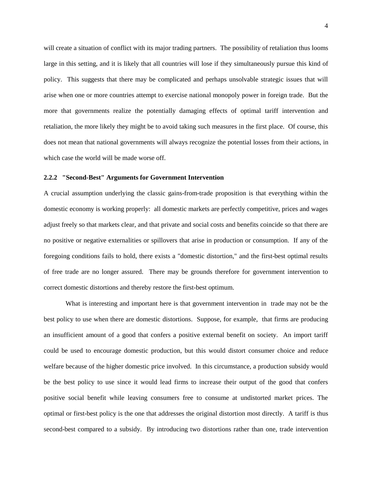will create a situation of conflict with its major trading partners. The possibility of retaliation thus looms large in this setting, and it is likely that all countries will lose if they simultaneously pursue this kind of policy. This suggests that there may be complicated and perhaps unsolvable strategic issues that will arise when one or more countries attempt to exercise national monopoly power in foreign trade. But the more that governments realize the potentially damaging effects of optimal tariff intervention and retaliation, the more likely they might be to avoid taking such measures in the first place. Of course, this does not mean that national governments will always recognize the potential losses from their actions, in which case the world will be made worse off.

#### **2.2.2 "Second-Best" Arguments for Government Intervention**

A crucial assumption underlying the classic gains-from-trade proposition is that everything within the domestic economy is working properly: all domestic markets are perfectly competitive, prices and wages adjust freely so that markets clear, and that private and social costs and benefits coincide so that there are no positive or negative externalities or spillovers that arise in production or consumption. If any of the foregoing conditions fails to hold, there exists a "domestic distortion," and the first-best optimal results of free trade are no longer assured. There may be grounds therefore for government intervention to correct domestic distortions and thereby restore the first-best optimum.

What is interesting and important here is that government intervention in trade may not be the best policy to use when there are domestic distortions. Suppose, for example, that firms are producing an insufficient amount of a good that confers a positive external benefit on society. An import tariff could be used to encourage domestic production, but this would distort consumer choice and reduce welfare because of the higher domestic price involved. In this circumstance, a production subsidy would be the best policy to use since it would lead firms to increase their output of the good that confers positive social benefit while leaving consumers free to consume at undistorted market prices. The optimal or first-best policy is the one that addresses the original distortion most directly. A tariff is thus second-best compared to a subsidy. By introducing two distortions rather than one, trade intervention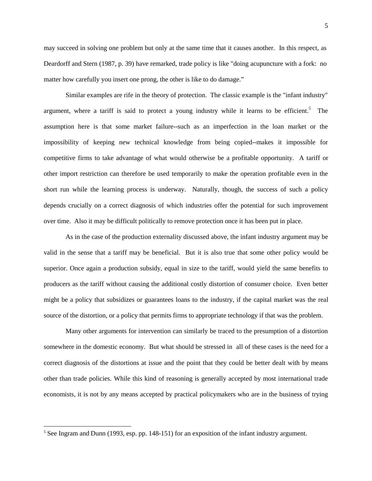5

may succeed in solving one problem but only at the same time that it causes another. In this respect, as Deardorff and Stern (1987, p. 39) have remarked, trade policy is like "doing acupuncture with a fork: no matter how carefully you insert one prong, the other is like to do damage."

Similar examples are rife in the theory of protection. The classic example is the "infant industry" argument, where a tariff is said to protect a young industry while it learns to be efficient.<sup>5</sup> The assumption here is that some market failure--such as an imperfection in the loan market or the impossibility of keeping new technical knowledge from being copied--makes it impossible for competitive firms to take advantage of what would otherwise be a profitable opportunity. A tariff or other import restriction can therefore be used temporarily to make the operation profitable even in the short run while the learning process is underway. Naturally, though, the success of such a policy depends crucially on a correct diagnosis of which industries offer the potential for such improvement over time. Also it may be difficult politically to remove protection once it has been put in place.

As in the case of the production externality discussed above, the infant industry argument may be valid in the sense that a tariff may be beneficial. But it is also true that some other policy would be superior. Once again a production subsidy, equal in size to the tariff, would yield the same benefits to producers as the tariff without causing the additional costly distortion of consumer choice. Even better might be a policy that subsidizes or guarantees loans to the industry, if the capital market was the real source of the distortion, or a policy that permits firms to appropriate technology if that was the problem.

Many other arguments for intervention can similarly be traced to the presumption of a distortion somewhere in the domestic economy. But what should be stressed in all of these cases is the need for a correct diagnosis of the distortions at issue and the point that they could be better dealt with by means other than trade policies. While this kind of reasoning is generally accepted by most international trade economists, it is not by any means accepted by practical policymakers who are in the business of trying

 $\overline{a}$ 

<sup>&</sup>lt;sup>5</sup> See Ingram and Dunn (1993, esp. pp. 148-151) for an exposition of the infant industry argument.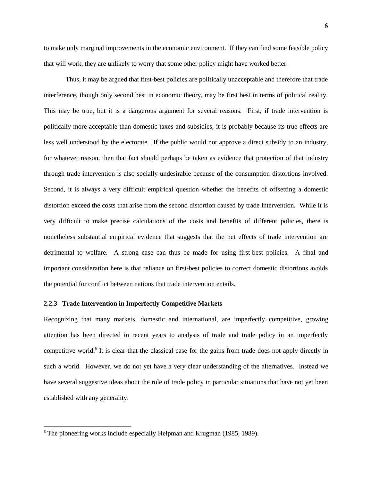to make only marginal improvements in the economic environment. If they can find some feasible policy that will work, they are unlikely to worry that some other policy might have worked better.

Thus, it may be argued that first-best policies are politically unacceptable and therefore that trade interference, though only second best in economic theory, may be first best in terms of political reality. This may be true, but it is a dangerous argument for several reasons. First, if trade intervention is politically more acceptable than domestic taxes and subsidies, it is probably because its true effects are less well understood by the electorate. If the public would not approve a direct subsidy to an industry, for whatever reason, then that fact should perhaps be taken as evidence that protection of that industry through trade intervention is also socially undesirable because of the consumption distortions involved. Second, it is always a very difficult empirical question whether the benefits of offsetting a domestic distortion exceed the costs that arise from the second distortion caused by trade intervention. While it is very difficult to make precise calculations of the costs and benefits of different policies, there is nonetheless substantial empirical evidence that suggests that the net effects of trade intervention are detrimental to welfare. A strong case can thus be made for using first-best policies. A final and important consideration here is that reliance on first-best policies to correct domestic distortions avoids the potential for conflict between nations that trade intervention entails.

#### **2.2.3 Trade Intervention in Imperfectly Competitive Markets**

Recognizing that many markets, domestic and international, are imperfectly competitive, growing attention has been directed in recent years to analysis of trade and trade policy in an imperfectly competitive world.<sup>6</sup> It is clear that the classical case for the gains from trade does not apply directly in such a world. However, we do not yet have a very clear understanding of the alternatives. Instead we have several suggestive ideas about the role of trade policy in particular situations that have not yet been established with any generality.

 $\overline{a}$ 

<sup>&</sup>lt;sup>6</sup> The pioneering works include especially Helpman and Krugman (1985, 1989).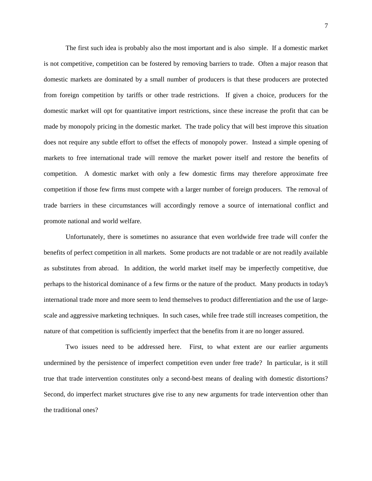The first such idea is probably also the most important and is also simple. If a domestic market is not competitive, competition can be fostered by removing barriers to trade. Often a major reason that domestic markets are dominated by a small number of producers is that these producers are protected from foreign competition by tariffs or other trade restrictions. If given a choice, producers for the domestic market will opt for quantitative import restrictions, since these increase the profit that can be made by monopoly pricing in the domestic market. The trade policy that will best improve this situation does not require any subtle effort to offset the effects of monopoly power. Instead a simple opening of markets to free international trade will remove the market power itself and restore the benefits of competition. A domestic market with only a few domestic firms may therefore approximate free competition if those few firms must compete with a larger number of foreign producers. The removal of trade barriers in these circumstances will accordingly remove a source of international conflict and promote national and world welfare.

Unfortunately, there is sometimes no assurance that even worldwide free trade will confer the benefits of perfect competition in all markets. Some products are not tradable or are not readily available as substitutes from abroad. In addition, the world market itself may be imperfectly competitive, due perhaps to the historical dominance of a few firms or the nature of the product. Many products in today's international trade more and more seem to lend themselves to product differentiation and the use of largescale and aggressive marketing techniques. In such cases, while free trade still increases competition, the nature of that competition is sufficiently imperfect that the benefits from it are no longer assured.

Two issues need to be addressed here. First, to what extent are our earlier arguments undermined by the persistence of imperfect competition even under free trade? In particular, is it still true that trade intervention constitutes only a second-best means of dealing with domestic distortions? Second, do imperfect market structures give rise to any new arguments for trade intervention other than the traditional ones?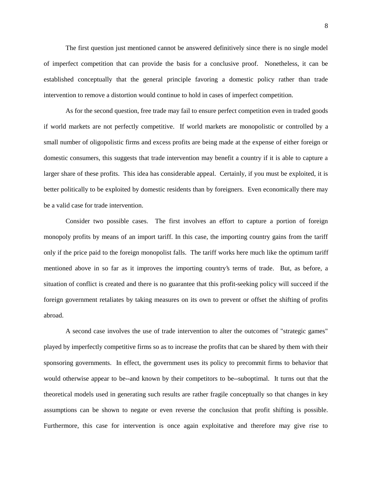The first question just mentioned cannot be answered definitively since there is no single model of imperfect competition that can provide the basis for a conclusive proof. Nonetheless, it can be established conceptually that the general principle favoring a domestic policy rather than trade intervention to remove a distortion would continue to hold in cases of imperfect competition.

As for the second question, free trade may fail to ensure perfect competition even in traded goods if world markets are not perfectly competitive. If world markets are monopolistic or controlled by a small number of oligopolistic firms and excess profits are being made at the expense of either foreign or domestic consumers, this suggests that trade intervention may benefit a country if it is able to capture a larger share of these profits. This idea has considerable appeal. Certainly, if you must be exploited, it is better politically to be exploited by domestic residents than by foreigners. Even economically there may be a valid case for trade intervention.

Consider two possible cases. The first involves an effort to capture a portion of foreign monopoly profits by means of an import tariff. In this case, the importing country gains from the tariff only if the price paid to the foreign monopolist falls. The tariff works here much like the optimum tariff mentioned above in so far as it improves the importing country's terms of trade. But, as before, a situation of conflict is created and there is no guarantee that this profit-seeking policy will succeed if the foreign government retaliates by taking measures on its own to prevent or offset the shifting of profits abroad.

A second case involves the use of trade intervention to alter the outcomes of "strategic games" played by imperfectly competitive firms so as to increase the profits that can be shared by them with their sponsoring governments. In effect, the government uses its policy to precommit firms to behavior that would otherwise appear to be--and known by their competitors to be--suboptimal. It turns out that the theoretical models used in generating such results are rather fragile conceptually so that changes in key assumptions can be shown to negate or even reverse the conclusion that profit shifting is possible. Furthermore, this case for intervention is once again exploitative and therefore may give rise to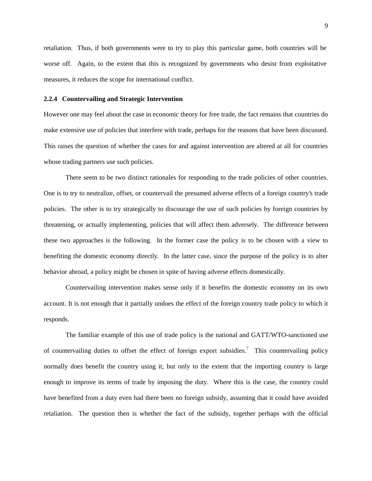retaliation. Thus, if both governments were to try to play this particular game, both countries will be worse off. Again, to the extent that this is recognized by governments who desist from exploitative measures, it reduces the scope for international conflict.

#### **2.2.4 Countervailing and Strategic Intervention**

However one may feel about the case in economic theory for free trade, the fact remains that countries do make extensive use of policies that interfere with trade, perhaps for the reasons that have been discussed. This raises the question of whether the cases for and against intervention are altered at all for countries whose trading partners use such policies.

There seem to be two distinct rationales for responding to the trade policies of other countries. One is to try to neutralize, offset, or countervail the presumed adverse effects of a foreign country's trade policies. The other is to try strategically to discourage the use of such policies by foreign countries by threatening, or actually implementing, policies that will affect them adversely. The difference between these two approaches is the following. In the former case the policy is to be chosen with a view to benefiting the domestic economy directly. In the latter case, since the purpose of the policy is to alter behavior abroad, a policy might be chosen in spite of having adverse effects domestically.

Countervailing intervention makes sense only if it benefits the domestic economy on its own account. It is not enough that it partially undoes the effect of the foreign country trade policy to which it responds.

The familiar example of this use of trade policy is the national and GATT/WTO-sanctioned use of countervailing duties to offset the effect of foreign export subsidies.<sup>7</sup> This countervailing policy normally does benefit the country using it, but only to the extent that the importing country is large enough to improve its terms of trade by imposing the duty. Where this is the case, the country could have benefited from a duty even had there been no foreign subsidy, assuming that it could have avoided retaliation. The question then is whether the fact of the subsidy, together perhaps with the official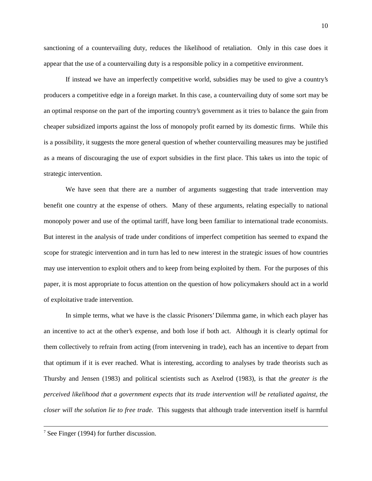sanctioning of a countervailing duty, reduces the likelihood of retaliation. Only in this case does it appear that the use of a countervailing duty is a responsible policy in a competitive environment.

If instead we have an imperfectly competitive world, subsidies may be used to give a country's producers a competitive edge in a foreign market. In this case, a countervailing duty of some sort may be an optimal response on the part of the importing country's government as it tries to balance the gain from cheaper subsidized imports against the loss of monopoly profit earned by its domestic firms. While this is a possibility, it suggests the more general question of whether countervailing measures may be justified as a means of discouraging the use of export subsidies in the first place. This takes us into the topic of strategic intervention.

We have seen that there are a number of arguments suggesting that trade intervention may benefit one country at the expense of others. Many of these arguments, relating especially to national monopoly power and use of the optimal tariff, have long been familiar to international trade economists. But interest in the analysis of trade under conditions of imperfect competition has seemed to expand the scope for strategic intervention and in turn has led to new interest in the strategic issues of how countries may use intervention to exploit others and to keep from being exploited by them. For the purposes of this paper, it is most appropriate to focus attention on the question of how policymakers should act in a world of exploitative trade intervention.

In simple terms, what we have is the classic Prisoners' Dilemma game, in which each player has an incentive to act at the other's expense, and both lose if both act. Although it is clearly optimal for them collectively to refrain from acting (from intervening in trade), each has an incentive to depart from that optimum if it is ever reached. What is interesting, according to analyses by trade theorists such as Thursby and Jensen (1983) and political scientists such as Axelrod (1983), is that *the greater is the perceived likelihood that a government expects that its trade intervention will be retaliated against, the closer will the solution lie to free trade*. This suggests that although trade intervention itself is harmful

 $\overline{a}$ 

 $<sup>7</sup>$  See Finger (1994) for further discussion.</sup>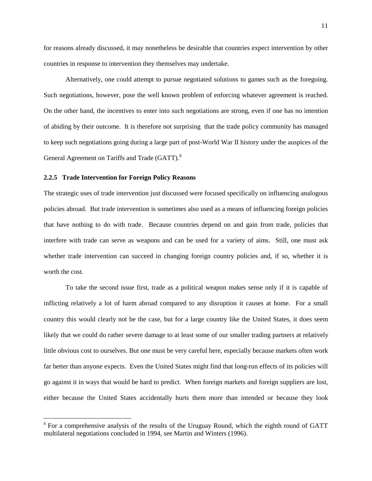for reasons already discussed, it may nonetheless be desirable that countries expect intervention by other countries in response to intervention they themselves may undertake.

Alternatively, one could attempt to pursue negotiated solutions to games such as the foregoing. Such negotiations, however, pose the well known problem of enforcing whatever agreement is reached. On the other hand, the incentives to enter into such negotiations are strong, even if one has no intention of abiding by their outcome. It is therefore not surprising that the trade policy community has managed to keep such negotiations going during a large part of post-World War II history under the auspices of the General Agreement on Tariffs and Trade (GATT).<sup>8</sup>

#### **2.2.5 Trade Intervention for Foreign Policy Reasons**

 $\overline{a}$ 

The strategic uses of trade intervention just discussed were focused specifically on influencing analogous policies abroad. But trade intervention is sometimes also used as a means of influencing foreign policies that have nothing to do with trade. Because countries depend on and gain from trade, policies that interfere with trade can serve as weapons and can be used for a variety of aims. Still, one must ask whether trade intervention can succeed in changing foreign country policies and, if so, whether it is worth the cost.

To take the second issue first, trade as a political weapon makes sense only if it is capable of inflicting relatively a lot of harm abroad compared to any disruption it causes at home. For a small country this would clearly not be the case, but for a large country like the United States, it does seem likely that we could do rather severe damage to at least some of our smaller trading partners at relatively little obvious cost to ourselves. But one must be very careful here, especially because markets often work far better than anyone expects. Even the United States might find that long-run effects of its policies will go against it in ways that would be hard to predict. When foreign markets and foreign suppliers are lost, either because the United States accidentally hurts them more than intended or because they look

<sup>&</sup>lt;sup>8</sup> For a comprehensive analysis of the results of the Uruguay Round, which the eighth round of GATT multilateral negotiations concluded in 1994, see Martin and Winters (1996).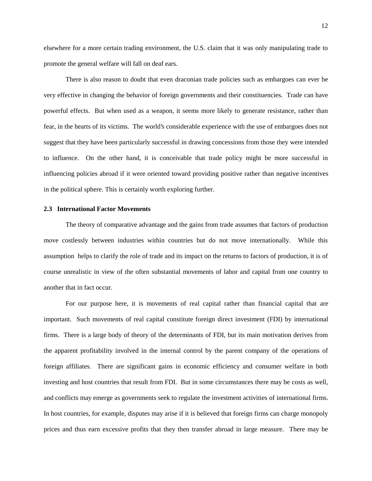elsewhere for a more certain trading environment, the U.S. claim that it was only manipulating trade to promote the general welfare will fall on deaf ears.

There is also reason to doubt that even draconian trade policies such as embargoes can ever be very effective in changing the behavior of foreign governments and their constituencies. Trade can have powerful effects. But when used as a weapon, it seems more likely to generate resistance, rather than fear, in the hearts of its victims. The world's considerable experience with the use of embargoes does not suggest that they have been particularly successful in drawing concessions from those they were intended to influence. On the other hand, it is conceivable that trade policy might be more successful in influencing policies abroad if it were oriented toward providing positive rather than negative incentives in the political sphere. This is certainly worth exploring further.

# **2.3 International Factor Movements**

The theory of comparative advantage and the gains from trade assumes that factors of production move costlessly between industries within countries but do not move internationally. While this assumption helps to clarify the role of trade and its impact on the returns to factors of production, it is of course unrealistic in view of the often substantial movements of labor and capital from one country to another that in fact occur.

For our purpose here, it is movements of real capital rather than financial capital that are important. Such movements of real capital constitute foreign direct investment (FDI) by international firms. There is a large body of theory of the determinants of FDI, but its main motivation derives from the apparent profitability involved in the internal control by the parent company of the operations of foreign affiliates. There are significant gains in economic efficiency and consumer welfare in both investing and host countries that result from FDI. But in some circumstances there may be costs as well, and conflicts may emerge as governments seek to regulate the investment activities of international firms. In host countries, for example, disputes may arise if it is believed that foreign firms can charge monopoly prices and thus earn excessive profits that they then transfer abroad in large measure. There may be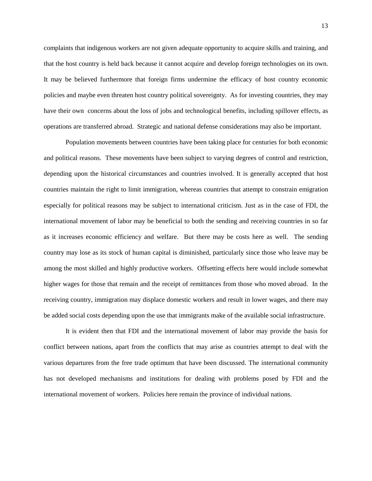complaints that indigenous workers are not given adequate opportunity to acquire skills and training, and that the host country is held back because it cannot acquire and develop foreign technologies on its own. It may be believed furthermore that foreign firms undermine the efficacy of host country economic policies and maybe even threaten host country political sovereignty. As for investing countries, they may have their own concerns about the loss of jobs and technological benefits, including spillover effects, as operations are transferred abroad. Strategic and national defense considerations may also be important.

Population movements between countries have been taking place for centuries for both economic and political reasons. These movements have been subject to varying degrees of control and restriction, depending upon the historical circumstances and countries involved. It is generally accepted that host countries maintain the right to limit immigration, whereas countries that attempt to constrain emigration especially for political reasons may be subject to international criticism. Just as in the case of FDI, the international movement of labor may be beneficial to both the sending and receiving countries in so far as it increases economic efficiency and welfare. But there may be costs here as well. The sending country may lose as its stock of human capital is diminished, particularly since those who leave may be among the most skilled and highly productive workers. Offsetting effects here would include somewhat higher wages for those that remain and the receipt of remittances from those who moved abroad. In the receiving country, immigration may displace domestic workers and result in lower wages, and there may be added social costs depending upon the use that immigrants make of the available social infrastructure.

It is evident then that FDI and the international movement of labor may provide the basis for conflict between nations, apart from the conflicts that may arise as countries attempt to deal with the various departures from the free trade optimum that have been discussed. The international community has not developed mechanisms and institutions for dealing with problems posed by FDI and the international movement of workers. Policies here remain the province of individual nations.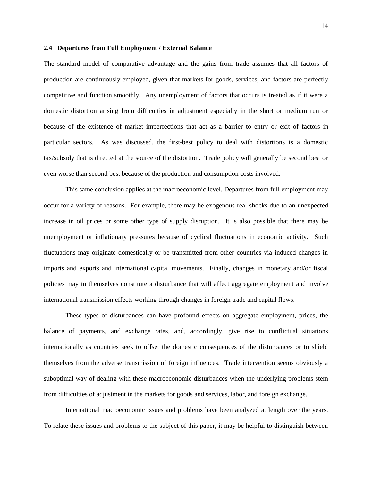#### **2.4 Departures from Full Employment / External Balance**

The standard model of comparative advantage and the gains from trade assumes that all factors of production are continuously employed, given that markets for goods, services, and factors are perfectly competitive and function smoothly. Any unemployment of factors that occurs is treated as if it were a domestic distortion arising from difficulties in adjustment especially in the short or medium run or because of the existence of market imperfections that act as a barrier to entry or exit of factors in particular sectors. As was discussed, the first-best policy to deal with distortions is a domestic tax/subsidy that is directed at the source of the distortion. Trade policy will generally be second best or even worse than second best because of the production and consumption costs involved.

This same conclusion applies at the macroeconomic level. Departures from full employment may occur for a variety of reasons. For example, there may be exogenous real shocks due to an unexpected increase in oil prices or some other type of supply disruption. It is also possible that there may be unemployment or inflationary pressures because of cyclical fluctuations in economic activity. Such fluctuations may originate domestically or be transmitted from other countries via induced changes in imports and exports and international capital movements. Finally, changes in monetary and/or fiscal policies may in themselves constitute a disturbance that will affect aggregate employment and involve international transmission effects working through changes in foreign trade and capital flows.

These types of disturbances can have profound effects on aggregate employment, prices, the balance of payments, and exchange rates, and, accordingly, give rise to conflictual situations internationally as countries seek to offset the domestic consequences of the disturbances or to shield themselves from the adverse transmission of foreign influences. Trade intervention seems obviously a suboptimal way of dealing with these macroeconomic disturbances when the underlying problems stem from difficulties of adjustment in the markets for goods and services, labor, and foreign exchange.

International macroeconomic issues and problems have been analyzed at length over the years. To relate these issues and problems to the subject of this paper, it may be helpful to distinguish between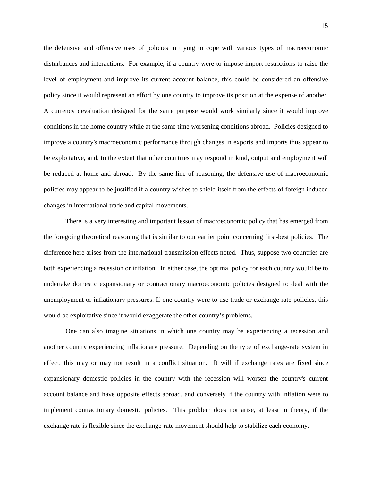the defensive and offensive uses of policies in trying to cope with various types of macroeconomic disturbances and interactions. For example, if a country were to impose import restrictions to raise the level of employment and improve its current account balance, this could be considered an offensive policy since it would represent an effort by one country to improve its position at the expense of another. A currency devaluation designed for the same purpose would work similarly since it would improve conditions in the home country while at the same time worsening conditions abroad. Policies designed to improve a country's macroeconomic performance through changes in exports and imports thus appear to be exploitative, and, to the extent that other countries may respond in kind, output and employment will be reduced at home and abroad. By the same line of reasoning, the defensive use of macroeconomic policies may appear to be justified if a country wishes to shield itself from the effects of foreign induced changes in international trade and capital movements.

There is a very interesting and important lesson of macroeconomic policy that has emerged from the foregoing theoretical reasoning that is similar to our earlier point concerning first-best policies. The difference here arises from the international transmission effects noted. Thus, suppose two countries are both experiencing a recession or inflation. In either case, the optimal policy for each country would be to undertake domestic expansionary or contractionary macroeconomic policies designed to deal with the unemployment or inflationary pressures. If one country were to use trade or exchange-rate policies, this would be exploitative since it would exaggerate the other country's problems.

One can also imagine situations in which one country may be experiencing a recession and another country experiencing inflationary pressure. Depending on the type of exchange-rate system in effect, this may or may not result in a conflict situation. It will if exchange rates are fixed since expansionary domestic policies in the country with the recession will worsen the country's current account balance and have opposite effects abroad, and conversely if the country with inflation were to implement contractionary domestic policies. This problem does not arise, at least in theory, if the exchange rate is flexible since the exchange-rate movement should help to stabilize each economy.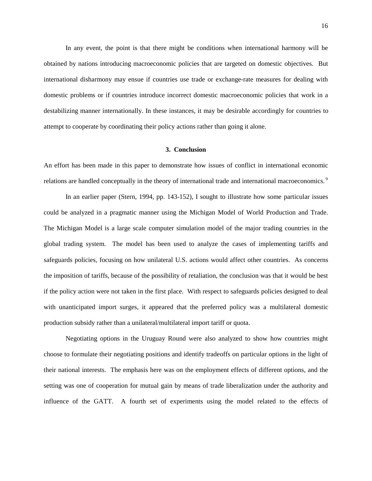In any event, the point is that there might be conditions when international harmony will be obtained by nations introducing macroeconomic policies that are targeted on domestic objectives. But international disharmony may ensue if countries use trade or exchange-rate measures for dealing with domestic problems or if countries introduce incorrect domestic macroeconomic policies that work in a destabilizing manner internationally. In these instances, it may be desirable accordingly for countries to attempt to cooperate by coordinating their policy actions rather than going it alone.

## **3. Conclusion**

An effort has been made in this paper to demonstrate how issues of conflict in international economic relations are handled conceptually in the theory of international trade and international macroeconomics.<sup>9</sup>

In an earlier paper (Stern, 1994, pp. 143-152), I sought to illustrate how some particular issues could be analyzed in a pragmatic manner using the Michigan Model of World Production and Trade. The Michigan Model is a large scale computer simulation model of the major trading countries in the global trading system. The model has been used to analyze the cases of implementing tariffs and safeguards policies, focusing on how unilateral U.S. actions would affect other countries. As concerns the imposition of tariffs, because of the possibility of retaliation, the conclusion was that it would be best if the policy action were not taken in the first place. With respect to safeguards policies designed to deal with unanticipated import surges, it appeared that the preferred policy was a multilateral domestic production subsidy rather than a unilateral/multilateral import tariff or quota.

Negotiating options in the Uruguay Round were also analyzed to show how countries might choose to formulate their negotiating positions and identify tradeoffs on particular options in the light of their national interests. The emphasis here was on the employment effects of different options, and the setting was one of cooperation for mutual gain by means of trade liberalization under the authority and influence of the GATT. A fourth set of experiments using the model related to the effects of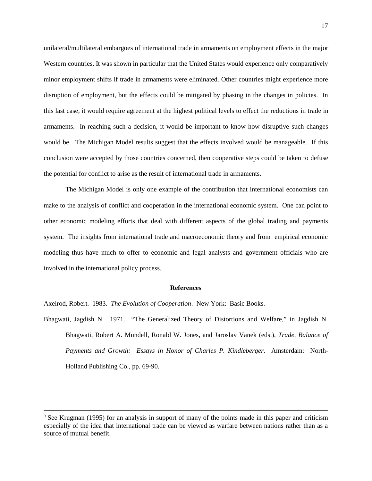unilateral/multilateral embargoes of international trade in armaments on employment effects in the major Western countries. It was shown in particular that the United States would experience only comparatively minor employment shifts if trade in armaments were eliminated. Other countries might experience more disruption of employment, but the effects could be mitigated by phasing in the changes in policies. In this last case, it would require agreement at the highest political levels to effect the reductions in trade in armaments. In reaching such a decision, it would be important to know how disruptive such changes would be. The Michigan Model results suggest that the effects involved would be manageable. If this conclusion were accepted by those countries concerned, then cooperative steps could be taken to defuse the potential for conflict to arise as the result of international trade in armaments.

The Michigan Model is only one example of the contribution that international economists can make to the analysis of conflict and cooperation in the international economic system. One can point to other economic modeling efforts that deal with different aspects of the global trading and payments system. The insights from international trade and macroeconomic theory and from empirical economic modeling thus have much to offer to economic and legal analysts and government officials who are involved in the international policy process.

#### **References**

Axelrod, Robert. 1983. *The Evolution of Cooperation*. New York: Basic Books.

 $\overline{a}$ 

Bhagwati, Jagdish N. 1971. "The Generalized Theory of Distortions and Welfare," in Jagdish N. Bhagwati, Robert A. Mundell, Ronald W. Jones, and Jaroslav Vanek (eds.), *Trade, Balance of Payments and Growth: Essays in Honor of Charles P. Kindleberger*. Amsterdam: North-Holland Publishing Co., pp. 69-90.

<sup>&</sup>lt;sup>9</sup> See Krugman (1995) for an analysis in support of many of the points made in this paper and criticism especially of the idea that international trade can be viewed as warfare between nations rather than as a source of mutual benefit.